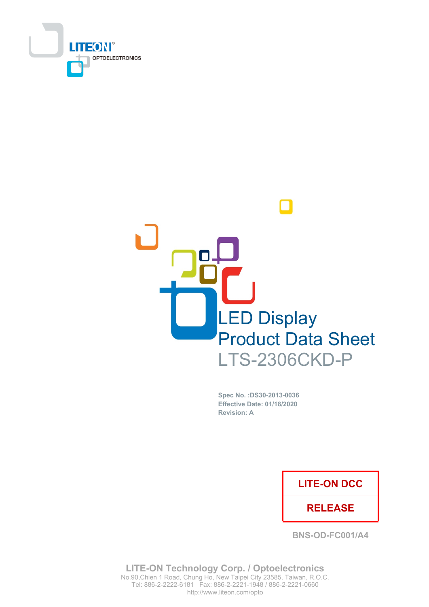



Spec No. : DS30-2013-0036 Effective Date: 01/18/2020 **Revision: A** 

## **LITE-ON DCC**

### **RELEASE**

**BNS-OD-FC001/A4** 

**LITE-ON Technology Corp. / Optoelectronics** No.90, Chien 1 Road, Chung Ho, New Taipei City 23585, Taiwan, R.O.C. Tel: 886-2-2222-6181 Fax: 886-2-2221-1948 / 886-2-2221-0660 http://www.liteon.com/opto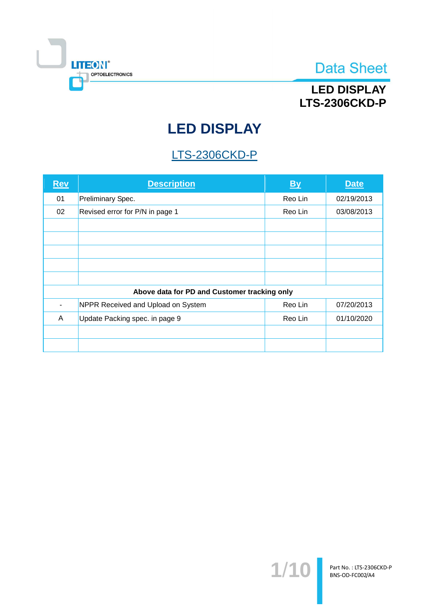

## **LED DISPLAY LTS-2306CKD-P**

# **LED DISPLAY**

# **LTS-2306CKD-P**

| <b>Rev</b> | <b>Description</b>                           | <b>By</b> | <b>Date</b> |
|------------|----------------------------------------------|-----------|-------------|
| 01         | Preliminary Spec.                            | Reo Lin   | 02/19/2013  |
| 02         | Revised error for P/N in page 1              | Reo Lin   | 03/08/2013  |
|            |                                              |           |             |
|            |                                              |           |             |
|            |                                              |           |             |
|            |                                              |           |             |
|            |                                              |           |             |
|            | Above data for PD and Customer tracking only |           |             |
|            | NPPR Received and Upload on System           | Reo Lin   | 07/20/2013  |
| A          | Update Packing spec. in page 9               | Reo Lin   | 01/10/2020  |
|            |                                              |           |             |
|            |                                              |           |             |

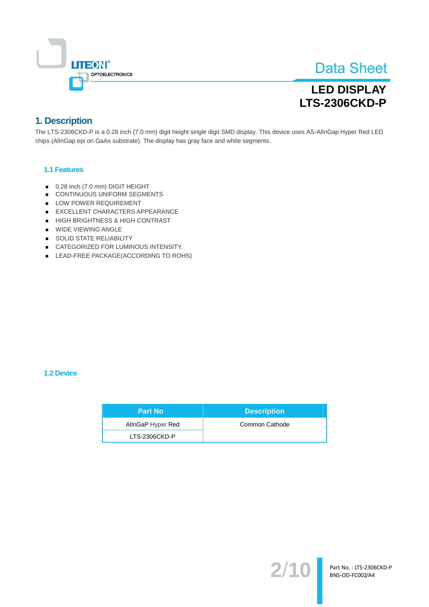

## **LED DISPLAY LTS-2306CKD-P**

### 1. Description

The LTS-2306CKD-P is a 0.28 inch (7.0 mm) digit height single digit SMD display. This device uses AS-AllnGap Hyper Red LED chips (AllnGap epi on GaAs substrate). The display has gray face and white segments.

### 1.1 Features

- 0.28 inch (7.0 mm) DIGIT HEIGHT
- CONTINUOUS UNIFORM SEGMENTS
- LOW POWER REQUIREMENT
- EXCELLENT CHARACTERS APPEARANCE
- HIGH BRIGHTNESS & HIGH CONTRAST
- WIDE VIEWING ANGLE
- SOLID STATE RELIABILITY
- CATEGORIZED FOR LUMINOUS INTENSITY.
- LEAD-FREE PACKAGE(ACCORDING TO ROHS)

### 1.2 Device

| <b>Part No</b>    | <b>Description</b> |
|-------------------|--------------------|
| AllnGaP Hyper Red | Common Cathode     |
| LTS-2306CKD-P     |                    |

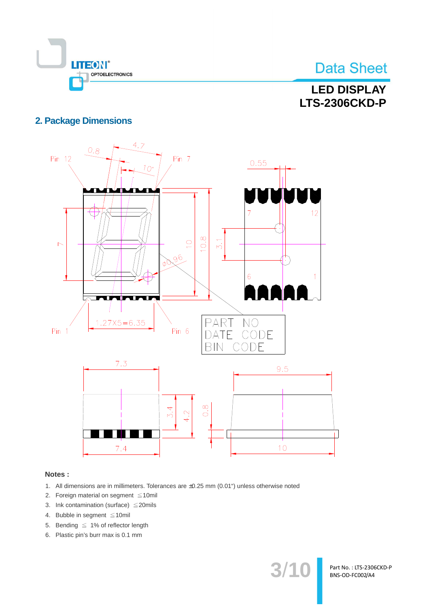

## **LED DISPLAY LTS-2306CKD-P**

### **2. Package Dimensions**



### Notes:

- 1. All dimensions are in millimeters. Tolerances are ±0.25 mm (0.01") unless otherwise noted
- 2. Foreign material on segment  $\leq 10$ mil
- 3. Ink contamination (surface)  $\leq$  20mils
- 4. Bubble in segment ≤10mil
- 5. Bending  $\leq 1\%$  of reflector length
- 6. Plastic pin's burr max is 0.1 mm

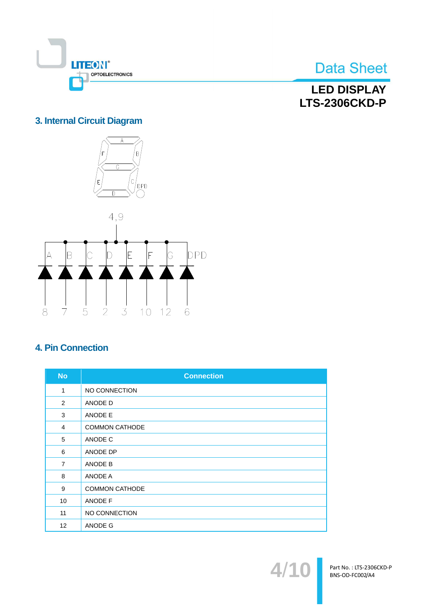

**LED DISPLAY LTS-2306CKD-P** 

## 3. Internal Circuit Diagram



## **4. Pin Connection**

| <b>No</b>         | <b>Connection</b>     |
|-------------------|-----------------------|
| 1                 | NO CONNECTION         |
| 2                 | ANODE D               |
| 3                 | ANODE E               |
| $\overline{4}$    | <b>COMMON CATHODE</b> |
| 5                 | ANODE C               |
| 6                 | ANODE DP              |
| $\overline{7}$    | ANODE B               |
| 8                 | ANODE A               |
| 9                 | <b>COMMON CATHODE</b> |
| 10                | ANODE F               |
| 11                | NO CONNECTION         |
| $12 \overline{ }$ | ANODE G               |

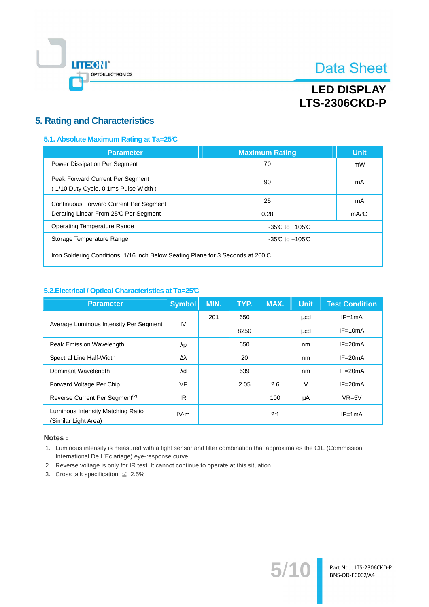

## **LED DISPLAY LTS-2306CKD-P**

### **5. Rating and Characteristics**

### 5.1. Absolute Maximum Rating at Ta=25°C

| <b>Parameter</b>                                                         | <b>Maximum Rating</b> | <b>Unit</b> |  |
|--------------------------------------------------------------------------|-----------------------|-------------|--|
| Power Dissipation Per Segment                                            | 70                    | mW          |  |
| Peak Forward Current Per Segment<br>(1/10 Duty Cycle, 0.1ms Pulse Width) | 90                    | mA          |  |
| <b>Continuous Forward Current Per Segment</b>                            | 25                    | mA          |  |
| Derating Linear From 25°C Per Segment                                    | 0.28                  | mA/C        |  |
| Operating Temperature Range                                              | $-35C$ to $+105C$     |             |  |
| Storage Temperature Range                                                | $-35C$ to $+105C$     |             |  |
|                                                                          |                       |             |  |

Iron Soldering Conditions: 1/16 inch Below Seating Plane for 3 Seconds at 260°C

### 5.2. Electrical / Optical Characteristics at Ta=25°C

| <b>Parameter</b>                                          | <b>Symbol</b>    | MIN. | TYP. | MAX. | <b>Unit</b> | <b>Test Condition</b> |
|-----------------------------------------------------------|------------------|------|------|------|-------------|-----------------------|
|                                                           | IV               | 201  | 650  |      | μcd         | $IF = 1mA$            |
| Average Luminous Intensity Per Segment                    |                  |      | 8250 |      | μcd         | $IF = 10mA$           |
| Peak Emission Wavelength                                  | $\lambda$ p      |      | 650  |      | nm          | $IF = 20mA$           |
| Spectral Line Half-Width                                  | $\Delta \lambda$ |      | 20   |      | nm          | $IF = 20mA$           |
| Dominant Wavelength                                       | $\lambda$ d      |      | 639  |      | nm          | $IF = 20mA$           |
| Forward Voltage Per Chip                                  | <b>VF</b>        |      | 2.05 | 2.6  | $\vee$      | $IF = 20mA$           |
| Reverse Current Per Segment <sup>(2)</sup>                | IR.              |      |      | 100  | μA          | $VR=5V$               |
| Luminous Intensity Matching Ratio<br>(Similar Light Area) | $IV-m$           |      |      | 2:1  |             | $IF = 1mA$            |

#### Notes:

1. Luminous intensity is measured with a light sensor and filter combination that approximates the CIE (Commission International De L'Eclariage) eye-response curve

 $5/$ 

- 2. Reverse voltage is only for IR test. It cannot continue to operate at this situation
- 3. Cross talk specification  $\leq 2.5\%$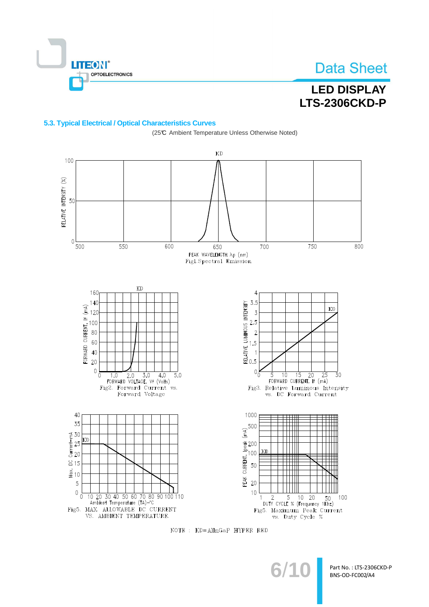**TEON®** OPTOELECTRONICS

# **Data Sheet**

## **LED DISPLAY LTS-2306CKD-P**

### 5.3. Typical Electrical / Optical Characteristics Curves



NOTE : KD=AlInGaP HYPER RED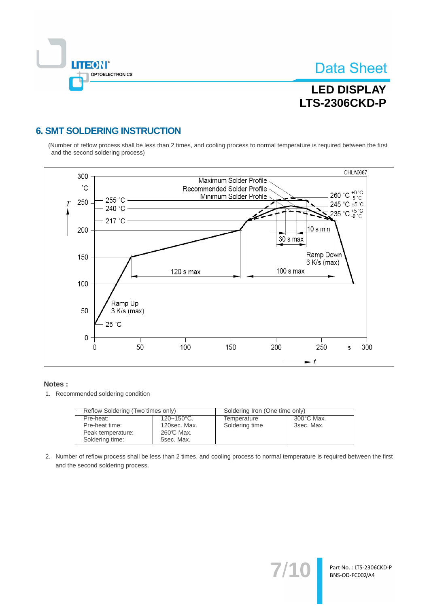

# **LED DISPLAY LTS-2306CKD-P**

### **6. SMT SOLDERING INSTRUCTION**

(Number of reflow process shall be less than 2 times, and cooling process to normal temperature is required between the first and the second soldering process)



#### Notes:

1. Recommended soldering condition

| Reflow Soldering (Two times only) |                        | Soldering Iron (One time only) |                      |  |
|-----------------------------------|------------------------|--------------------------------|----------------------|--|
| Pre-heat:                         | $120 - 150^{\circ}$ C. | Temperature                    | $300^{\circ}$ C Max. |  |
| Pre-heat time:                    | 120sec. Max.           | Soldering time                 | 3sec. Max.           |  |
| Peak temperature:                 | 260℃ Max.              |                                |                      |  |
| Soldering time:                   | 5sec. Max.             |                                |                      |  |

2. Number of reflow process shall be less than 2 times, and cooling process to normal temperature is required between the first and the second soldering process.

 $7'$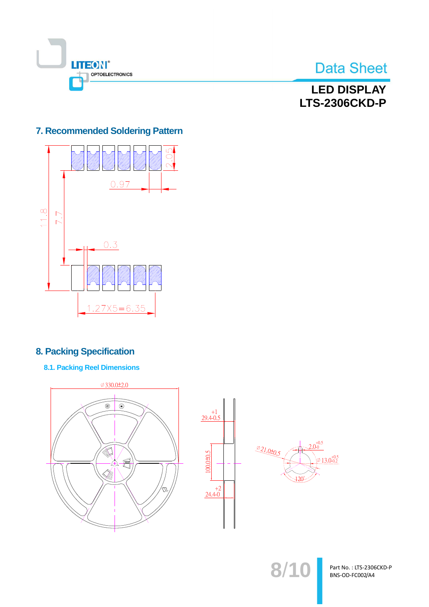

## **LED DISPLAY LTS-2306CKD-P**

### 7. Recommended Soldering Pattern



## **8. Packing Specification**

**8.1. Packing Reel Dimensions** 



 $8/1$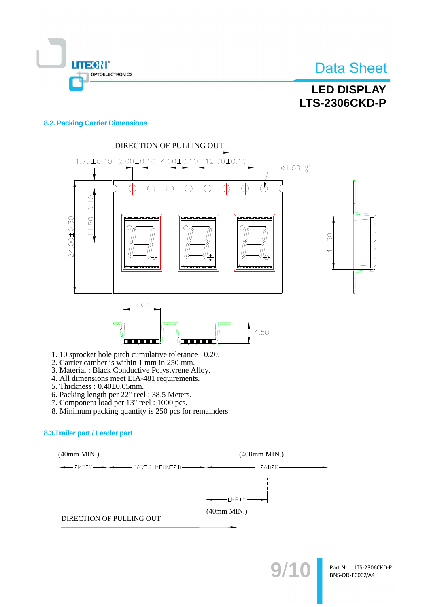

# **LED DISPLAY LTS-2306CKD-P**

### **8.2. Packing Carrier Dimensions**



- 1. 10 sprocket hole pitch cumulative tolerance  $\pm 0.20$ .
- 2. Carrier camber is within 1 mm in 250 mm.
- 3. Material : Black Conductive Polystyrene Alloy.
- 4. All dimensions meet EIA-481 requirements.
- 5. Thickness: 0.40±0.05mm.
- 
- 6. Packing length per 22" reel : 38.5 Meters.<br>7. Component load per 13" reel : 1000 pcs.
- 8. Minimum packing quantity is 250 pcs for remainders

### 8.3. Trailer part / Leader part

 $(40mm MIN.)$ 

 $(400mm MIN.)$ 



 $(40mm MIN.)$ 

DIRECTION OF PULLING OUT